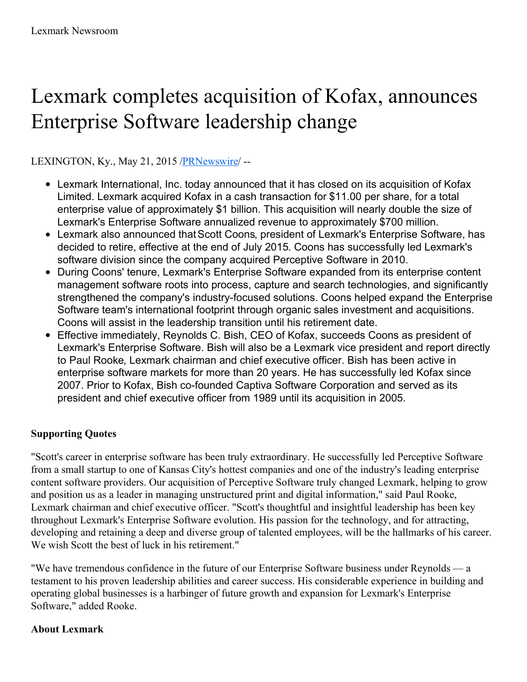## Lexmark completes acquisition of Kofax, announces Enterprise Software leadership change

LEXINGTON, Ky., May 21, 2015 [/PRNewswire](http://www.prnewswire.com/)/ --

- Lexmark International, Inc. today announced that it has closed on its acquisition of Kofax Limited. Lexmark acquired Kofax in a cash transaction for \$11.00 per share, for a total enterprise value of approximately \$1 billion. This acquisition will nearly double the size of Lexmark's Enterprise Software annualized revenue to approximately \$700 million.
- Lexmark also announced thatScott Coons, president of Lexmark's Enterprise Software, has decided to retire, effective at the end of July 2015. Coons has successfully led Lexmark's software division since the company acquired Perceptive Software in 2010.
- During Coons' tenure, Lexmark's Enterprise Software expanded from its enterprise content management software roots into process, capture and search technologies, and significantly strengthened the company's industry-focused solutions. Coons helped expand the Enterprise Software team's international footprint through organic sales investment and acquisitions. Coons will assist in the leadership transition until his retirement date.
- Effective immediately, Reynolds C. Bish, CEO of Kofax, succeeds Coons as president of Lexmark's Enterprise Software. Bish will also be a Lexmark vice president and report directly to Paul Rooke, Lexmark chairman and chief executive officer. Bish has been active in enterprise software markets for more than 20 years. He has successfully led Kofax since 2007. Prior to Kofax, Bish co-founded Captiva Software Corporation and served as its president and chief executive officer from 1989 until its acquisition in 2005.

## **Supporting Quotes**

"Scott's career in enterprise software has been truly extraordinary. He successfully led Perceptive Software from a small startup to one of Kansas City's hottest companies and one of the industry's leading enterprise content software providers. Our acquisition of Perceptive Software truly changed Lexmark, helping to grow and position us as a leader in managing unstructured print and digital information," said Paul Rooke, Lexmark chairman and chief executive officer. "Scott's thoughtful and insightful leadership has been key throughout Lexmark's Enterprise Software evolution. His passion for the technology, and for attracting, developing and retaining a deep and diverse group of talented employees, will be the hallmarks of his career. We wish Scott the best of luck in his retirement."

"We have tremendous confidence in the future of our Enterprise Software business under Reynolds — a testament to his proven leadership abilities and career success. His considerable experience in building and operating global businesses is a harbinger of future growth and expansion for Lexmark's Enterprise Software," added Rooke.

## **About Lexmark**